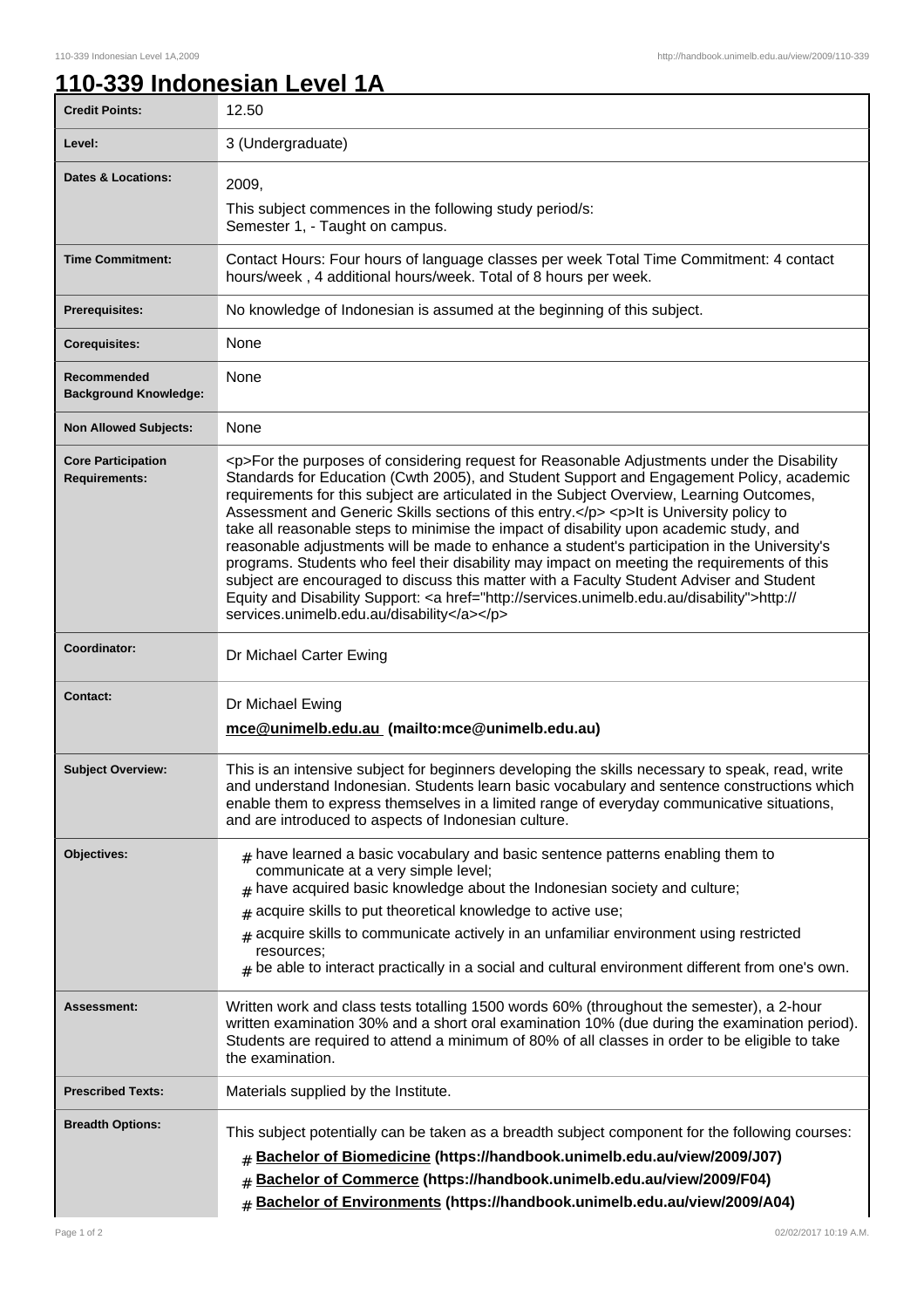## **110-339 Indonesian Level 1A**

| <b>Credit Points:</b>                             | VIIVVIMII E<br>12.50                                                                                                                                                                                                                                                                                                                                                                                                                                                                                                                                                                                                                                                                                                                                                                                                                                                                                                      |
|---------------------------------------------------|---------------------------------------------------------------------------------------------------------------------------------------------------------------------------------------------------------------------------------------------------------------------------------------------------------------------------------------------------------------------------------------------------------------------------------------------------------------------------------------------------------------------------------------------------------------------------------------------------------------------------------------------------------------------------------------------------------------------------------------------------------------------------------------------------------------------------------------------------------------------------------------------------------------------------|
| Level:                                            | 3 (Undergraduate)                                                                                                                                                                                                                                                                                                                                                                                                                                                                                                                                                                                                                                                                                                                                                                                                                                                                                                         |
| <b>Dates &amp; Locations:</b>                     | 2009,<br>This subject commences in the following study period/s:<br>Semester 1, - Taught on campus.                                                                                                                                                                                                                                                                                                                                                                                                                                                                                                                                                                                                                                                                                                                                                                                                                       |
| <b>Time Commitment:</b>                           | Contact Hours: Four hours of language classes per week Total Time Commitment: 4 contact<br>hours/week, 4 additional hours/week. Total of 8 hours per week.                                                                                                                                                                                                                                                                                                                                                                                                                                                                                                                                                                                                                                                                                                                                                                |
| Prerequisites:                                    | No knowledge of Indonesian is assumed at the beginning of this subject.                                                                                                                                                                                                                                                                                                                                                                                                                                                                                                                                                                                                                                                                                                                                                                                                                                                   |
| <b>Corequisites:</b>                              | None                                                                                                                                                                                                                                                                                                                                                                                                                                                                                                                                                                                                                                                                                                                                                                                                                                                                                                                      |
| Recommended<br><b>Background Knowledge:</b>       | None                                                                                                                                                                                                                                                                                                                                                                                                                                                                                                                                                                                                                                                                                                                                                                                                                                                                                                                      |
| <b>Non Allowed Subjects:</b>                      | None                                                                                                                                                                                                                                                                                                                                                                                                                                                                                                                                                                                                                                                                                                                                                                                                                                                                                                                      |
| <b>Core Participation</b><br><b>Requirements:</b> | <p>For the purposes of considering request for Reasonable Adjustments under the Disability<br/>Standards for Education (Cwth 2005), and Student Support and Engagement Policy, academic<br/>requirements for this subject are articulated in the Subject Overview, Learning Outcomes,<br/>Assessment and Generic Skills sections of this entry.</p> <p>lt is University policy to<br/>take all reasonable steps to minimise the impact of disability upon academic study, and<br/>reasonable adjustments will be made to enhance a student's participation in the University's<br/>programs. Students who feel their disability may impact on meeting the requirements of this<br/>subject are encouraged to discuss this matter with a Faculty Student Adviser and Student<br/>Equity and Disability Support: <a href="http://services.unimelb.edu.au/disability">http://<br/>services.unimelb.edu.au/disability</a></p> |
| Coordinator:                                      | Dr Michael Carter Ewing                                                                                                                                                                                                                                                                                                                                                                                                                                                                                                                                                                                                                                                                                                                                                                                                                                                                                                   |
| <b>Contact:</b>                                   | Dr Michael Ewing<br>mce@unimelb.edu.au (mailto:mce@unimelb.edu.au)                                                                                                                                                                                                                                                                                                                                                                                                                                                                                                                                                                                                                                                                                                                                                                                                                                                        |
| <b>Subject Overview:</b>                          | This is an intensive subject for beginners developing the skills necessary to speak, read, write<br>and understand Indonesian. Students learn basic vocabulary and sentence constructions which<br>enable them to express themselves in a limited range of everyday communicative situations,<br>and are introduced to aspects of Indonesian culture.                                                                                                                                                                                                                                                                                                                                                                                                                                                                                                                                                                     |
| Objectives:                                       | $_{\rm H}$ have learned a basic vocabulary and basic sentence patterns enabling them to<br>communicate at a very simple level;<br>$#$ have acquired basic knowledge about the Indonesian society and culture;<br>$#$ acquire skills to put theoretical knowledge to active use;<br>$*$ acquire skills to communicate actively in an unfamiliar environment using restricted<br>resources;<br>$*$ be able to interact practically in a social and cultural environment different from one's own.                                                                                                                                                                                                                                                                                                                                                                                                                           |
| Assessment:                                       | Written work and class tests totalling 1500 words 60% (throughout the semester), a 2-hour<br>written examination 30% and a short oral examination 10% (due during the examination period).<br>Students are required to attend a minimum of 80% of all classes in order to be eligible to take<br>the examination.                                                                                                                                                                                                                                                                                                                                                                                                                                                                                                                                                                                                         |
| <b>Prescribed Texts:</b>                          | Materials supplied by the Institute.                                                                                                                                                                                                                                                                                                                                                                                                                                                                                                                                                                                                                                                                                                                                                                                                                                                                                      |
| <b>Breadth Options:</b>                           | This subject potentially can be taken as a breadth subject component for the following courses:<br><b># Bachelor of Biomedicine (https://handbook.unimelb.edu.au/view/2009/J07)</b><br>Bachelor of Commerce (https://handbook.unimelb.edu.au/view/2009/F04)<br># Bachelor of Environments (https://handbook.unimelb.edu.au/view/2009/A04)                                                                                                                                                                                                                                                                                                                                                                                                                                                                                                                                                                                 |